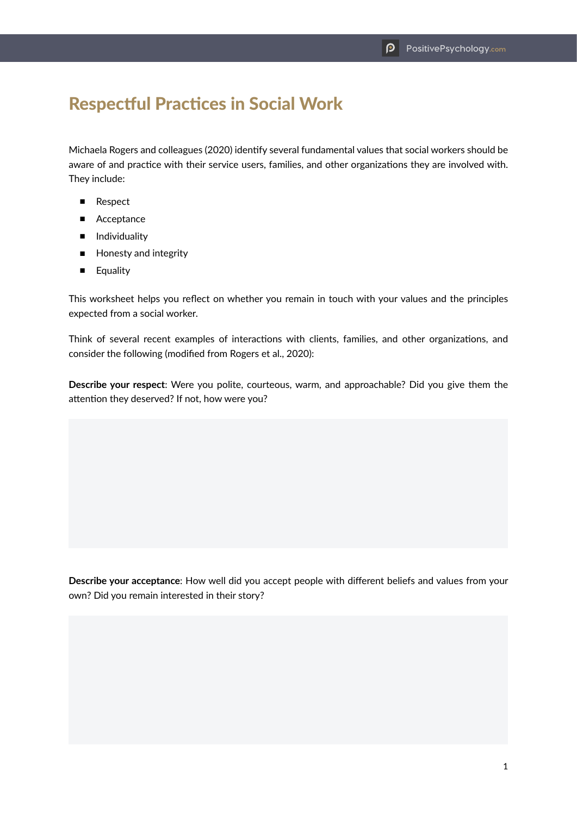## Respectful Practices in Social Work

Michaela Rogers and colleagues (2020) identify several fundamental values that social workers should be aware of and practice with their service users, families, and other organizations they are involved with. They include:

- Respect
- Acceptance
- Individuality
- Honesty and integrity
- Equality

This worksheet helps you reflect on whether you remain in touch with your values and the principles expected from a social worker.

Think of several recent examples of interactions with clients, families, and other organizations, and consider the following (modified from Rogers et al., 2020):

**Describe your respect**: Were you polite, courteous, warm, and approachable? Did you give them the attention they deserved? If not, how were you?

**Describe your acceptance**: How well did you accept people with different beliefs and values from your own? Did you remain interested in their story?